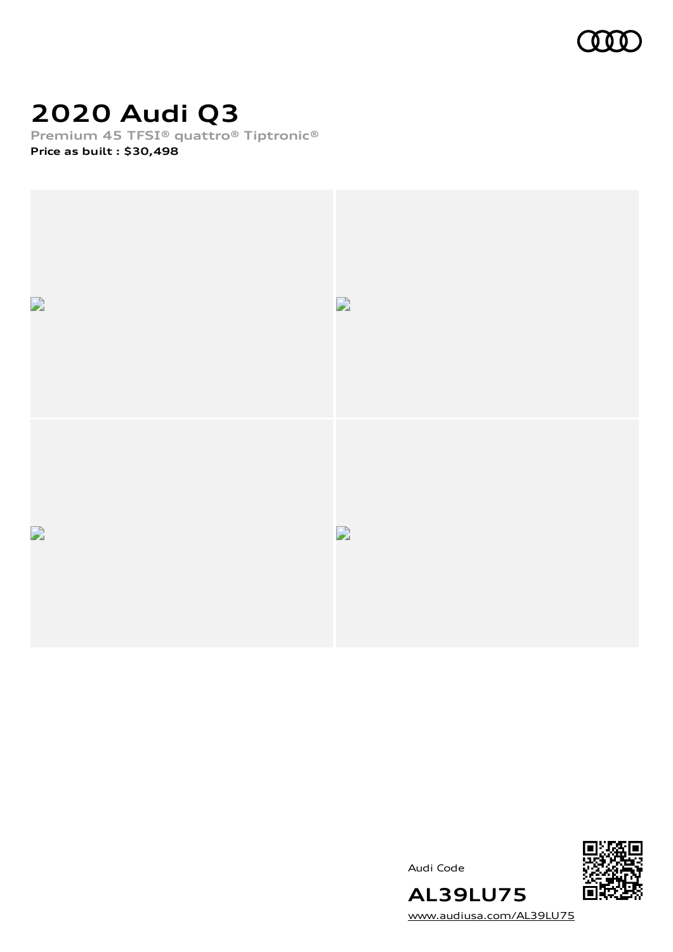

# **2020 Audi Q3**

**Premium 45 TFSI® quattro® Tiptronic®**

**Price as built [:](#page-9-0) \$30,498**







**AL39LU75** [www.audiusa.com/AL39LU75](https://www.audiusa.com/AL39LU75)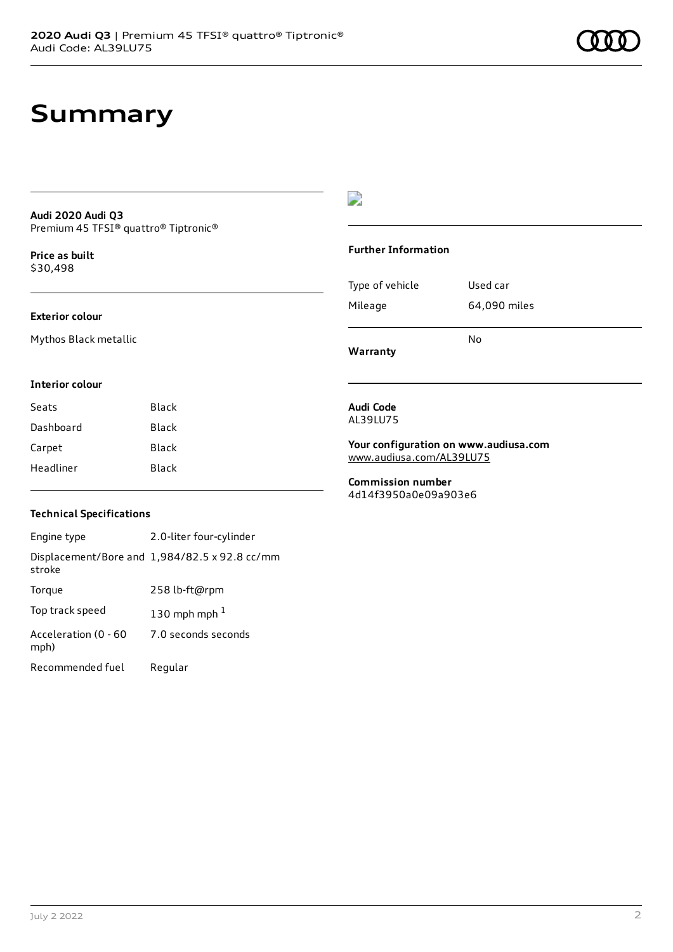## **Summary**

#### **Audi 2020 Audi Q3** Premium 45 TFSI® quattro® Tiptronic®

**Price as buil[t](#page-9-0)** \$30,498

#### **Exterior colour**

Mythos Black metallic

### D

#### **Further Information**

Type of vehicle Used car Mileage 64,090 miles No

**Warranty**

### **Interior colour**

| Seats     | Black |
|-----------|-------|
| Dashboard | Black |
| Carpet    | Black |
| Headliner | Black |

#### **Audi Code** AL39LU75

**Your configuration on www.audiusa.com** [www.audiusa.com/AL39LU75](https://www.audiusa.com/AL39LU75)

**Commission number** 4d14f3950a0e09a903e6

#### **Technical Specifications**

Engine type 2.0-liter four-cylinder Displacement/Bore and 1,984/82.5 x 92.8 cc/mm stroke Torque 258 lb-ft@rpm Top track speed  $130$  $130$  mph mph  $^{\rm 1}$ Acceleration (0 - 60 mph) 7.0 seconds seconds Recommended fuel Regular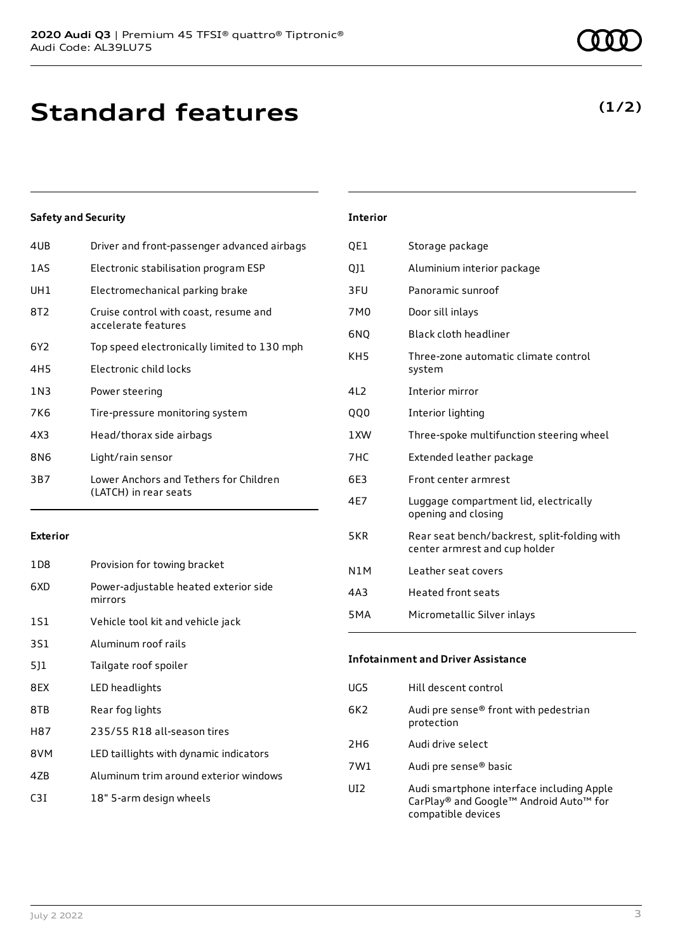# **Standard features**

#### **Safety and Security**

| 4UB   | Driver and front-passenger advanced airbags                     |
|-------|-----------------------------------------------------------------|
| 1AS   | Electronic stabilisation program ESP                            |
| UH1   | Electromechanical parking brake                                 |
| 8T2   | Cruise control with coast, resume and<br>accelerate features    |
| 6Y2   | Top speed electronically limited to 130 mph                     |
| 4H5   | Electronic child locks                                          |
| 1 N 3 | Power steering                                                  |
| 7K6   | Tire-pressure monitoring system                                 |
| 4X3   | Head/thorax side airbags                                        |
| 8N6   | Light/rain sensor                                               |
| 3B7   | Lower Anchors and Tethers for Children<br>(LATCH) in rear seats |
|       |                                                                 |

#### **Exterior**

| 1D8 | Provision for towing bracket                     |
|-----|--------------------------------------------------|
| 6XD | Power-adjustable heated exterior side<br>mirrors |
| 1S1 | Vehicle tool kit and vehicle jack                |
| 3S1 | Aluminum roof rails                              |
| 511 | Tailgate roof spoiler                            |
| 8EX | LED headlights                                   |
| 8TB | Rear fog lights                                  |
| H87 | 235/55 R18 all-season tires                      |
| 8VM | LED taillights with dynamic indicators           |
| 47B | Aluminum trim around exterior windows            |
| C3T | 18" 5-arm design wheels                          |

#### **Interior**

| QE1              | Storage package                                                               |
|------------------|-------------------------------------------------------------------------------|
| QJ1              | Aluminium interior package                                                    |
| 3FU              | Panoramic sunroof                                                             |
| 7M0              | Door sill inlays                                                              |
| 6NQ              | Black cloth headliner                                                         |
| KH <sub>5</sub>  | Three-zone automatic climate control<br>system                                |
| 4L2              | Interior mirror                                                               |
| <b>QQ0</b>       | Interior lighting                                                             |
| 1 XW             | Three-spoke multifunction steering wheel                                      |
| 7HC              | Extended leather package                                                      |
| 6E3              | Front center armrest                                                          |
| 4E7              | Luggage compartment lid, electrically<br>opening and closing                  |
| 5KR              | Rear seat bench/backrest, split-folding with<br>center armrest and cup holder |
| N <sub>1</sub> M | Leather seat covers                                                           |
| 4A3              | <b>Heated front seats</b>                                                     |
| 5 <sub>M</sub> A | Micrometallic Silver inlays                                                   |
|                  |                                                                               |

## **Infotainment and Driver Assistance** UG5 Hill descent control 6K2 Audi pre sense® front with pedestrian protection 2H6 Audi drive select 7W1 Audi pre sense® basic UI2 Audi smartphone interface including Apple CarPlay® and Google™ Android Auto™ for compatible devices

### **(1/2)**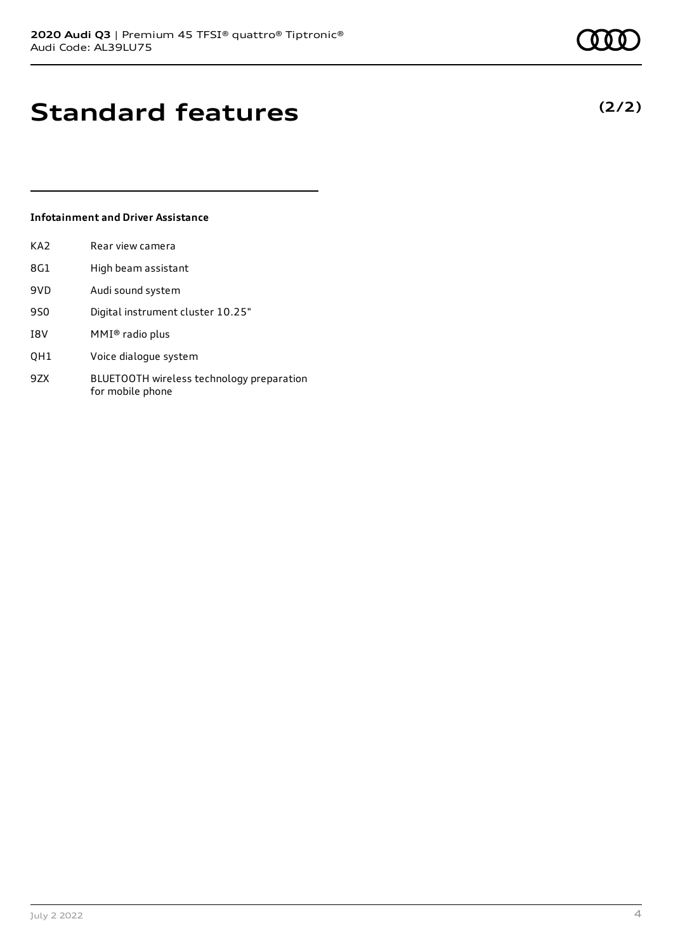**(2/2)**

# **Standard features**

#### **Infotainment and Driver Assistance**

| KA <sub>2</sub> | Rear view camera    |
|-----------------|---------------------|
| 8G1             | High beam assistant |

- 9VD Audi sound system
- 9S0 Digital instrument cluster 10.25"
- I8V MMI® radio plus
- QH1 Voice dialogue system
- 9ZX BLUETOOTH wireless technology preparation for mobile phone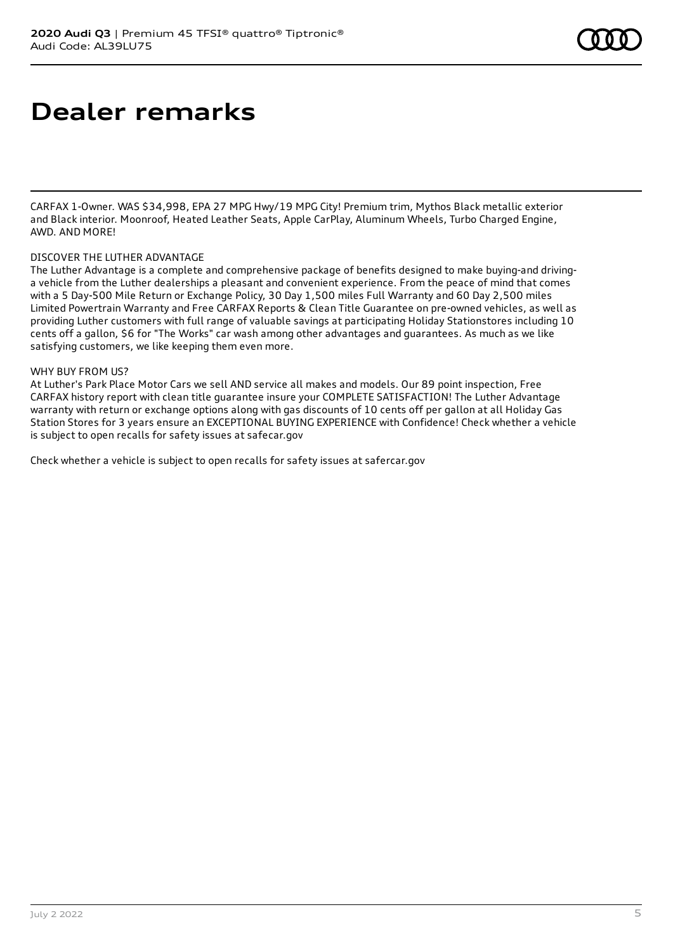## **Dealer remarks**

CARFAX 1-Owner. WAS \$34,998, EPA 27 MPG Hwy/19 MPG City! Premium trim, Mythos Black metallic exterior and Black interior. Moonroof, Heated Leather Seats, Apple CarPlay, Aluminum Wheels, Turbo Charged Engine, AWD. AND MORE!

#### DISCOVER THE LUTHER ADVANTAGE

The Luther Advantage is a complete and comprehensive package of benefits designed to make buying-and drivinga vehicle from the Luther dealerships a pleasant and convenient experience. From the peace of mind that comes with a 5 Day-500 Mile Return or Exchange Policy, 30 Day 1,500 miles Full Warranty and 60 Day 2,500 miles Limited Powertrain Warranty and Free CARFAX Reports & Clean Title Guarantee on pre-owned vehicles, as well as providing Luther customers with full range of valuable savings at participating Holiday Stationstores including 10 cents off a gallon, \$6 for "The Works" car wash among other advantages and guarantees. As much as we like satisfying customers, we like keeping them even more.

#### WHY BUY FROM US?

At Luther's Park Place Motor Cars we sell AND service all makes and models. Our 89 point inspection, Free CARFAX history report with clean title guarantee insure your COMPLETE SATISFACTION! The Luther Advantage warranty with return or exchange options along with gas discounts of 10 cents off per gallon at all Holiday Gas Station Stores for 3 years ensure an EXCEPTIONAL BUYING EXPERIENCE with Confidence! Check whether a vehicle is subject to open recalls for safety issues at safecar.gov

Check whether a vehicle is subject to open recalls for safety issues at safercar.gov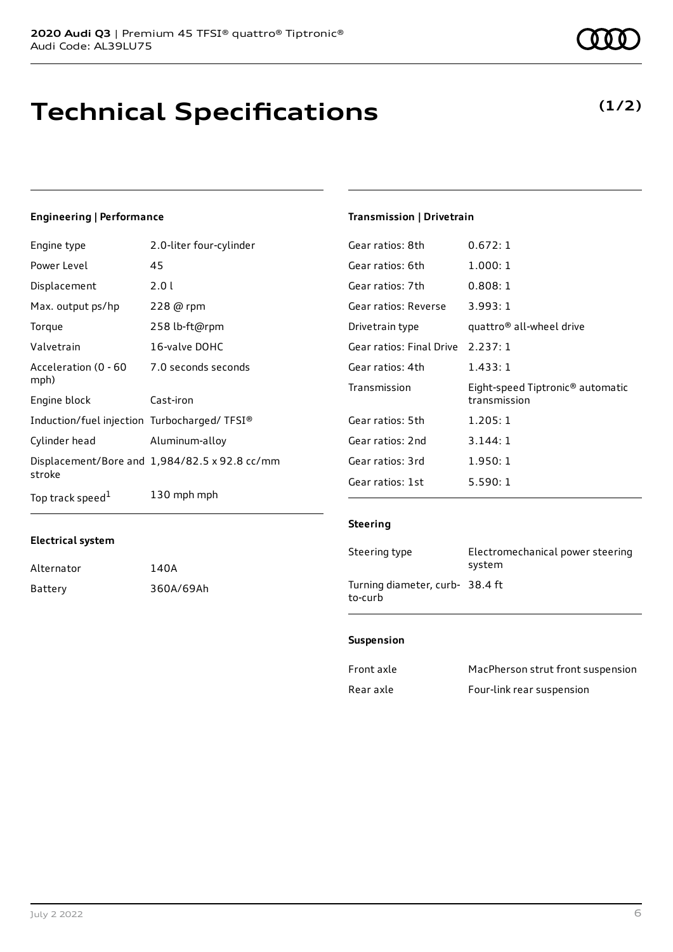# **Technical Specifications**

### **Engineering | Performance**

| Engine type                                 | 2.0-liter four-cylinder                       |
|---------------------------------------------|-----------------------------------------------|
| Power Level                                 | 45                                            |
| Displacement                                | 2.01                                          |
| Max. output ps/hp                           | 228 @ rpm                                     |
| Torque                                      | 258 lb-ft@rpm                                 |
| Valvetrain                                  | 16-valve DOHC                                 |
| Acceleration (0 - 60<br>mph)                | 7.0 seconds seconds                           |
| Engine block                                | Cast-iron                                     |
| Induction/fuel injection Turbocharged/TFSI® |                                               |
| Cylinder head                               | Aluminum-alloy                                |
| stroke                                      | Displacement/Bore and 1,984/82.5 x 92.8 cc/mm |
| Top track speed <sup>1</sup>                | 130 mph mph                                   |

## **Transmission | Drivetrain**

| Gear ratios: 8th         | 0.672:1                                                      |
|--------------------------|--------------------------------------------------------------|
| Gear ratios: 6th         | 1.000:1                                                      |
| Gear ratios: 7th         | 0.808:1                                                      |
| Gear ratios: Reverse     | 3.993:1                                                      |
| Drivetrain type          | quattro® all-wheel drive                                     |
| Gear ratios: Final Drive | 2.237:1                                                      |
| Gear ratios: 4th         | 1.433:1                                                      |
| Transmission             | Eight-speed Tiptronic <sup>®</sup> automatic<br>transmission |
| Gear ratios: 5th         | 1.205:1                                                      |
| Gear ratios: 2nd         | 3.144:1                                                      |
| Gear ratios: 3rd         | 1.950:1                                                      |
| Gear ratios: 1st         | 5.590:1                                                      |
|                          |                                                              |

#### **Steering**

| Steering type                             | Electromechanical power steering<br>system |
|-------------------------------------------|--------------------------------------------|
| Turning diameter, curb-38.4 ft<br>to-curb |                                            |

#### **Suspension**

| Front axle | MacPherson strut front suspension |
|------------|-----------------------------------|
| Rear axle  | Four-link rear suspension         |

**Electrical system**

Alternator 140A Battery 360A/69Ah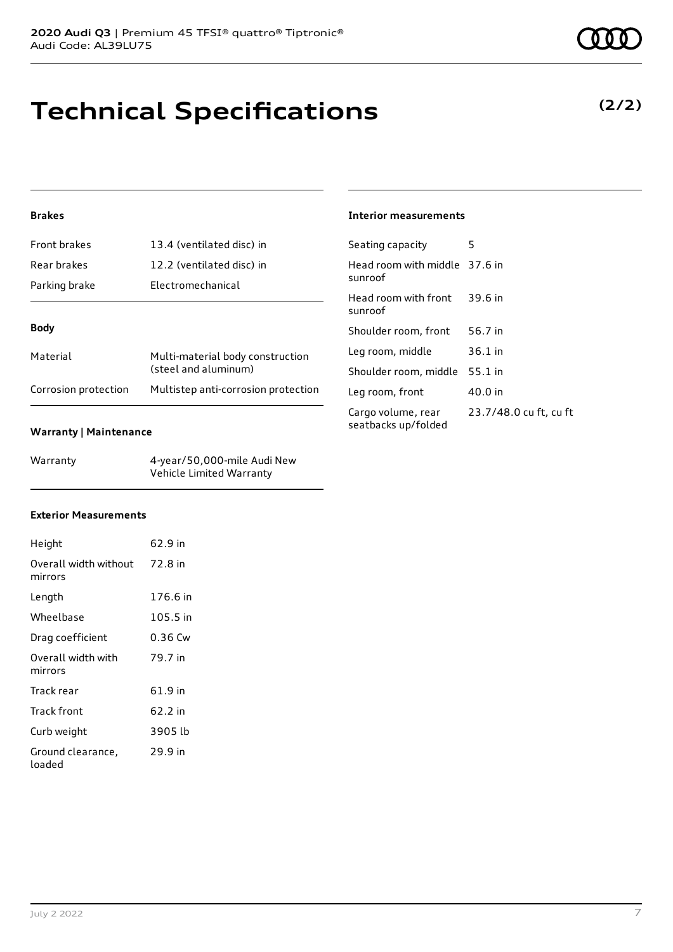# **Technical Specifications**

### **Brakes**

| <b>Front brakes</b> | 13.4 (ventilated disc) in                                |
|---------------------|----------------------------------------------------------|
| Rear brakes         | 12.2 (ventilated disc) in                                |
| Parking brake       | <b>Electromechanical</b>                                 |
|                     |                                                          |
|                     |                                                          |
| <b>Body</b>         |                                                          |
| Material            | Multi-material body construction<br>(steel and aluminum) |

#### **Warranty | Maintenance**

| Warranty | 4-year/50,000-mile Audi New |
|----------|-----------------------------|
|          | Vehicle Limited Warranty    |

#### **Interior measurements**

| Seating capacity                          | 5                      |
|-------------------------------------------|------------------------|
| Head room with middle 37.6 in<br>sunroof  |                        |
| Head room with front<br>sunroof           | 39.6 in                |
| Shoulder room, front                      | 56.7 in                |
| Leg room, middle                          | 36.1 in                |
| Shoulder room, middle                     | 55.1 in                |
| Leg room, front                           | 40.0 in                |
| Cargo volume, rear<br>seatbacks up/folded | 23.7/48.0 cu ft, cu ft |

#### **Exterior Measurements**

| Height                                   | 62.9 in  |
|------------------------------------------|----------|
| Overall width without 72.8 in<br>mirrors |          |
| Length                                   | 176.6 in |
| Wheelbase                                | 105.5 in |
| Drag coefficient                         | 0.36 Cw  |
| Overall width with<br>mirrors            | 79.7 in  |
| Track rear                               | 61.9 in  |
| Track front                              | 62.2 in  |
| Curb weight                              | 3905 lb  |
| Ground clearance,<br>loaded              | 29.9 in  |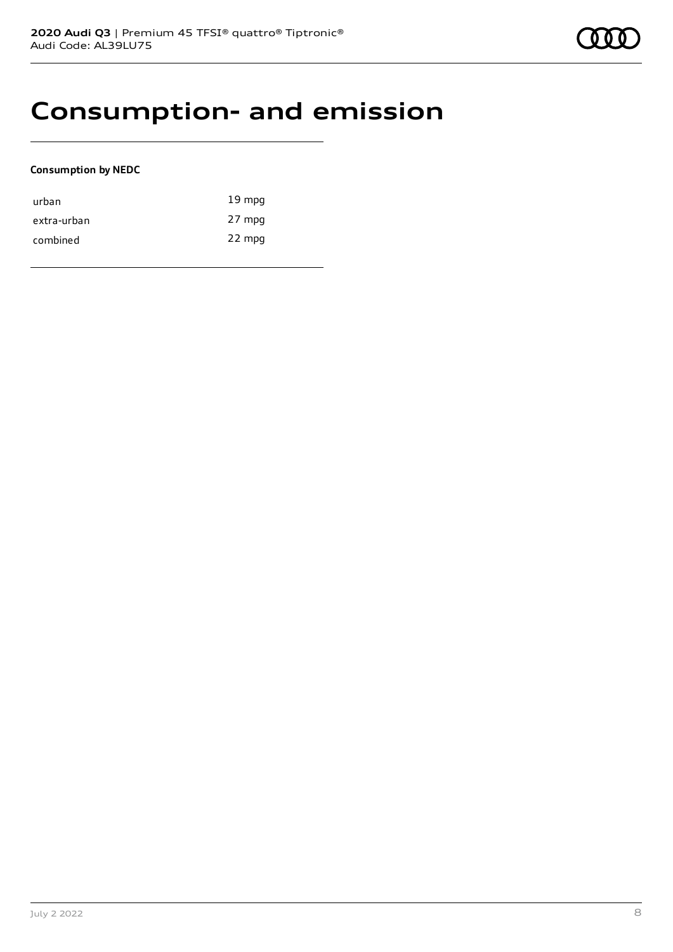## **Consumption- and emission**

#### **Consumption by NEDC**

| urban       | $19 \text{ mpg}$ |
|-------------|------------------|
| extra-urban | 27 mpg           |
| combined    | 22 mpg           |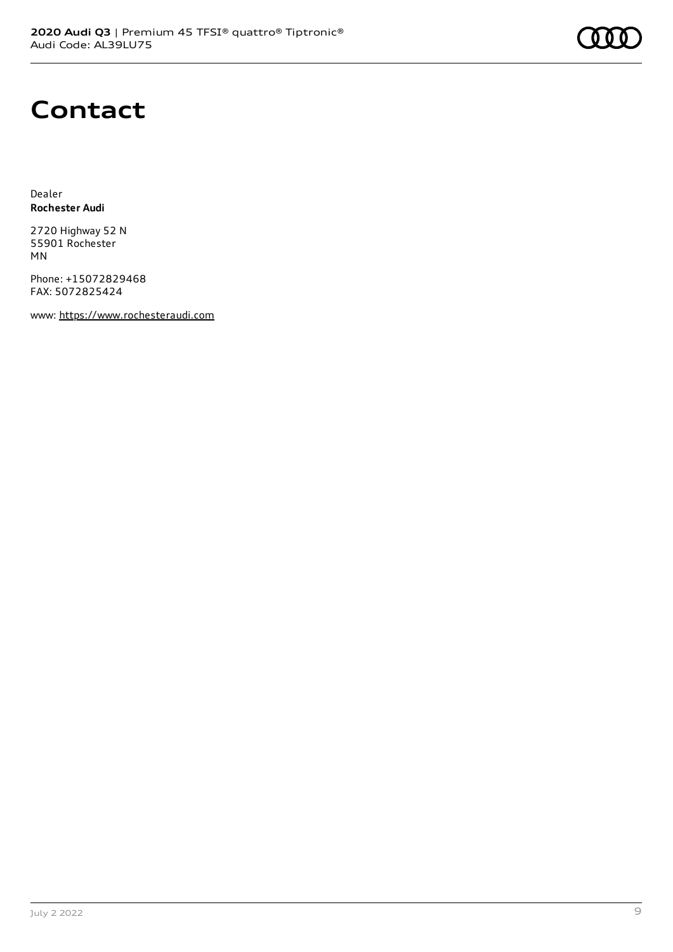

## **Contact**

Dealer **Rochester Audi**

2720 Highway 52 N 55901 Rochester MN

Phone: +15072829468 FAX: 5072825424

www: [https://www.rochesteraudi.com](https://www.rochesteraudi.com/)